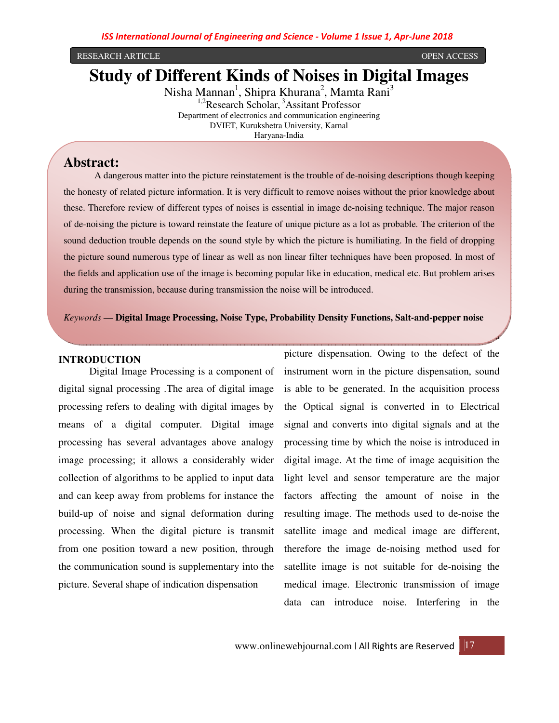#### RESEARCH ARTICLE OPEN ACCESS

# **Study of Different Kinds of Noises in Digital Images**

Nisha Mannan<sup>1</sup>, Shipra Khurana<sup>2</sup>, Mamta Rani<sup>3</sup>  $1.2$ Research Scholar,  $3$ Assitant Professor Department of electronics and communication engineering DVIET, Kurukshetra University, Karnal

Haryana-India

# **Abstract:**

A dangerous matter into the picture reinstatement is the trouble of de-noising descriptions though keeping the honesty of related picture information. It is very difficult to remove noises without the prior knowledge about these. Therefore review of different types of noises is essential in image de-noising technique. The major reason of de-noising the picture is toward reinstate the feature of unique picture as a lot as probable. The criterion of the sound deduction trouble depends on the sound style by which the picture is humiliating. In the field of dropping the picture sound numerous type of linear as well as non linear filter techniques have been proposed. In most of the fields and application use of the image is becoming popular like in education, medical etc. But problem arises during the transmission, because during transmission the noise will be introduced.

# *Keywords* — **Digital Image Processing, Noise Type, Probability Density Functions, Salt-and-pepper noise**

#### **INTRODUCTION**

Digital Image Processing is a component of digital signal processing .The area of digital image processing refers to dealing with digital images by means of a digital computer. Digital image processing has several advantages above analogy image processing; it allows a considerably wider collection of algorithms to be applied to input data and can keep away from problems for instance the build-up of noise and signal deformation during processing. When the digital picture is transmit from one position toward a new position, through the communication sound is supplementary into the picture. Several shape of indication dispensation

picture dispensation. Owing to the defect of the instrument worn in the picture dispensation, sound is able to be generated. In the acquisition process the Optical signal is converted in to Electrical signal and converts into digital signals and at the processing time by which the noise is introduced in digital image. At the time of image acquisition the light level and sensor temperature are the major factors affecting the amount of noise in the resulting image. The methods used to de-noise the satellite image and medical image are different, therefore the image de-noising method used for satellite image is not suitable for de-noising the medical image. Electronic transmission of image data can introduce noise. Interfering in the

have picture as an input as well as output is called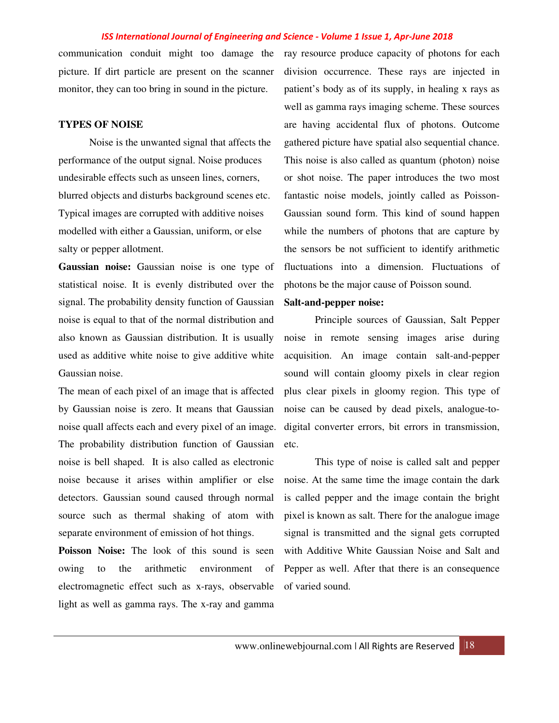communication conduit might too damage the picture. If dirt particle are present on the scanner monitor, they can too bring in sound in the picture.

#### **TYPES OF NOISE**

Noise is the unwanted signal that affects the performance of the output signal. Noise produces undesirable effects such as unseen lines, corners, blurred objects and disturbs background scenes etc. Typical images are corrupted with additive noises modelled with either a Gaussian, uniform, or else salty or pepper allotment.

**Gaussian noise:** Gaussian noise is one type of statistical noise. It is evenly distributed over the signal. The probability density function of Gaussian noise is equal to that of the normal distribution and also known as Gaussian distribution. It is usually used as additive white noise to give additive white Gaussian noise.

The mean of each pixel of an image that is affected by Gaussian noise is zero. It means that Gaussian noise quall affects each and every pixel of an image. The probability distribution function of Gaussian noise is bell shaped. It is also called as electronic noise because it arises within amplifier or else detectors. Gaussian sound caused through normal source such as thermal shaking of atom with separate environment of emission of hot things.

**Poisson Noise:** The look of this sound is seen owing to the arithmetic environment of electromagnetic effect such as x-rays, observable light as well as gamma rays. The x-ray and gamma

ray resource produce capacity of photons for each division occurrence. These rays are injected in patient's body as of its supply, in healing x rays as well as gamma rays imaging scheme. These sources are having accidental flux of photons. Outcome gathered picture have spatial also sequential chance. This noise is also called as quantum (photon) noise or shot noise. The paper introduces the two most fantastic noise models, jointly called as Poisson-Gaussian sound form. This kind of sound happen while the numbers of photons that are capture by the sensors be not sufficient to identify arithmetic fluctuations into a dimension. Fluctuations of photons be the major cause of Poisson sound.

# **Salt-and-pepper noise:**

Principle sources of Gaussian, Salt Pepper noise in remote sensing images arise during acquisition. An image contain salt-and-pepper sound will contain gloomy pixels in clear region plus clear pixels in gloomy region. This type of noise can be caused by dead pixels, analogue-todigital converter errors, bit errors in transmission, etc.

This type of noise is called salt and pepper noise. At the same time the image contain the dark is called pepper and the image contain the bright pixel is known as salt. There for the analogue image signal is transmitted and the signal gets corrupted with Additive White Gaussian Noise and Salt and Pepper as well. After that there is an consequence of varied sound.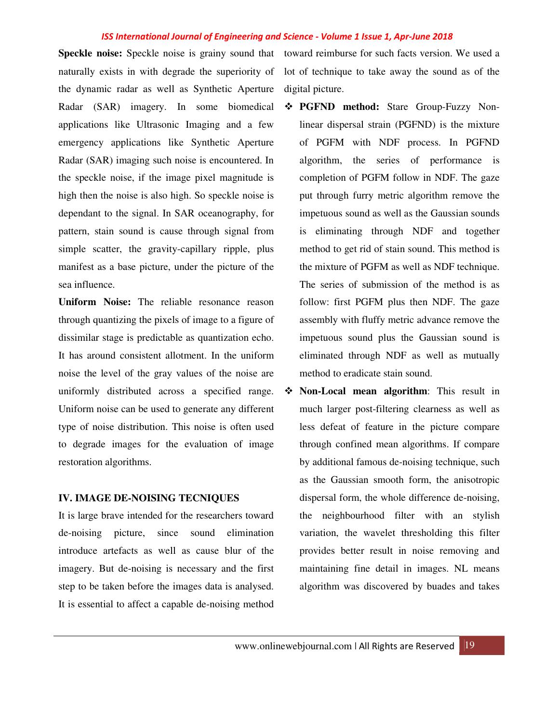naturally exists in with degrade the superiority of the dynamic radar as well as Synthetic Aperture Radar (SAR) imagery. In some biomedical applications like Ultrasonic Imaging and a few emergency applications like Synthetic Aperture Radar (SAR) imaging such noise is encountered. In the speckle noise, if the image pixel magnitude is high then the noise is also high. So speckle noise is dependant to the signal. In SAR oceanography, for pattern, stain sound is cause through signal from simple scatter, the gravity-capillary ripple, plus manifest as a base picture, under the picture of the sea influence.

**Uniform Noise:** The reliable resonance reason through quantizing the pixels of image to a figure of dissimilar stage is predictable as quantization echo. It has around consistent allotment. In the uniform noise the level of the gray values of the noise are uniformly distributed across a specified range. Uniform noise can be used to generate any different type of noise distribution. This noise is often used to degrade images for the evaluation of image restoration algorithms.

# **IV. IMAGE DE-NOISING TECNIQUES**

It is large brave intended for the researchers toward de-noising picture, since sound elimination introduce artefacts as well as cause blur of the imagery. But de-noising is necessary and the first step to be taken before the images data is analysed. It is essential to affect a capable de-noising method

Speckle noise: Speckle noise is grainy sound that toward reimburse for such facts version. We used a lot of technique to take away the sound as of the digital picture.

- **PGFND method:** Stare Group-Fuzzy Nonlinear dispersal strain (PGFND) is the mixture of PGFM with NDF process. In PGFND algorithm, the series of performance is completion of PGFM follow in NDF. The gaze put through furry metric algorithm remove the impetuous sound as well as the Gaussian sounds is eliminating through NDF and together method to get rid of stain sound. This method is the mixture of PGFM as well as NDF technique. The series of submission of the method is as follow: first PGFM plus then NDF. The gaze assembly with fluffy metric advance remove the impetuous sound plus the Gaussian sound is eliminated through NDF as well as mutually method to eradicate stain sound.
- **Non-Local mean algorithm**: This result in much larger post-filtering clearness as well as less defeat of feature in the picture compare through confined mean algorithms. If compare by additional famous de-noising technique, such as the Gaussian smooth form, the anisotropic dispersal form, the whole difference de-noising, the neighbourhood filter with an stylish variation, the wavelet thresholding this filter provides better result in noise removing and maintaining fine detail in images. NL means algorithm was discovered by buades and takes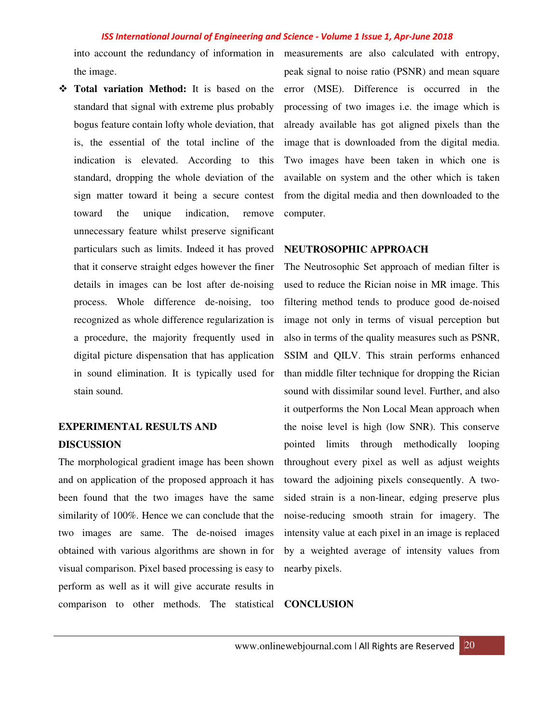the image.

 **Total variation Method:** It is based on the standard that signal with extreme plus probably bogus feature contain lofty whole deviation, that is, the essential of the total incline of the indication is elevated. According to this standard, dropping the whole deviation of the sign matter toward it being a secure contest toward the unique indication, remove unnecessary feature whilst preserve significant particulars such as limits. Indeed it has proved that it conserve straight edges however the finer details in images can be lost after de-noising process. Whole difference de-noising, too recognized as whole difference regularization is a procedure, the majority frequently used in digital picture dispensation that has application in sound elimination. It is typically used for stain sound.

# **EXPERIMENTAL RESULTS AND DISCUSSION**

The morphological gradient image has been shown and on application of the proposed approach it has been found that the two images have the same similarity of 100%. Hence we can conclude that the two images are same. The de-noised images obtained with various algorithms are shown in for visual comparison. Pixel based processing is easy to perform as well as it will give accurate results in comparison to other methods. The statistical

into account the redundancy of information in measurements are also calculated with entropy, peak signal to noise ratio (PSNR) and mean square error (MSE). Difference is occurred in the processing of two images i.e. the image which is already available has got aligned pixels than the image that is downloaded from the digital media. Two images have been taken in which one is available on system and the other which is taken from the digital media and then downloaded to the computer.

## **NEUTROSOPHIC APPROACH**

The Neutrosophic Set approach of median filter is used to reduce the Rician noise in MR image. This filtering method tends to produce good de-noised image not only in terms of visual perception but also in terms of the quality measures such as PSNR, SSIM and QILV. This strain performs enhanced than middle filter technique for dropping the Rician sound with dissimilar sound level. Further, and also it outperforms the Non Local Mean approach when the noise level is high (low SNR). This conserve pointed limits through methodically looping throughout every pixel as well as adjust weights toward the adjoining pixels consequently. A twosided strain is a non-linear, edging preserve plus noise-reducing smooth strain for imagery. The intensity value at each pixel in an image is replaced by a weighted average of intensity values from nearby pixels.

**CONCLUSION**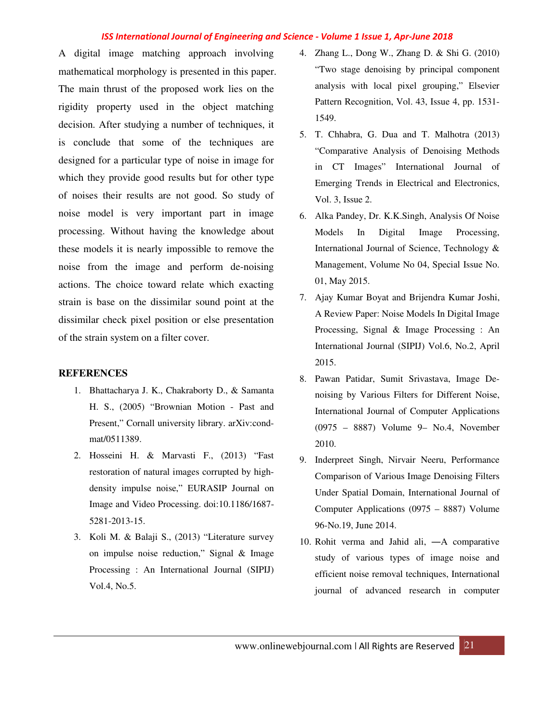A digital image matching approach involving mathematical morphology is presented in this paper. The main thrust of the proposed work lies on the rigidity property used in the object matching decision. After studying a number of techniques, it is conclude that some of the techniques are designed for a particular type of noise in image for which they provide good results but for other type of noises their results are not good. So study of noise model is very important part in image processing. Without having the knowledge about these models it is nearly impossible to remove the noise from the image and perform de-noising actions. The choice toward relate which exacting strain is base on the dissimilar sound point at the dissimilar check pixel position or else presentation of the strain system on a filter cover.

## **REFERENCES**

- 1. Bhattacharya J. K., Chakraborty D., & Samanta H. S., (2005) "Brownian Motion - Past and Present," Cornall university library. arXiv:condmat/0511389.
- 2. Hosseini H. & Marvasti F., (2013) "Fast restoration of natural images corrupted by highdensity impulse noise," EURASIP Journal on Image and Video Processing. doi:10.1186/1687- 5281-2013-15.
- 3. Koli M. & Balaji S., (2013) "Literature survey on impulse noise reduction," Signal & Image Processing : An International Journal (SIPIJ) Vol.4, No.5.
- 4. Zhang L., Dong W., Zhang D. & Shi G. (2010) "Two stage denoising by principal component analysis with local pixel grouping," Elsevier Pattern Recognition, Vol. 43, Issue 4, pp. 1531- 1549.
- 5. T. Chhabra, G. Dua and T. Malhotra (2013) "Comparative Analysis of Denoising Methods in CT Images" International Journal of Emerging Trends in Electrical and Electronics, Vol. 3, Issue 2.
- 6. Alka Pandey, Dr. K.K.Singh, Analysis Of Noise Models In Digital Image Processing, International Journal of Science, Technology & Management, Volume No 04, Special Issue No. 01, May 2015.
- 7. Ajay Kumar Boyat and Brijendra Kumar Joshi, A Review Paper: Noise Models In Digital Image Processing, Signal & Image Processing : An International Journal (SIPIJ) Vol.6, No.2, April 2015.
- 8. Pawan Patidar, Sumit Srivastava, Image Denoising by Various Filters for Different Noise, International Journal of Computer Applications (0975 – 8887) Volume 9– No.4, November 2010.
- 9. Inderpreet Singh, Nirvair Neeru, Performance Comparison of Various Image Denoising Filters Under Spatial Domain, International Journal of Computer Applications (0975 – 8887) Volume 96-No.19, June 2014.
- 10. Rohit verma and Jahid ali, ―A comparative study of various types of image noise and efficient noise removal techniques, International journal of advanced research in computer